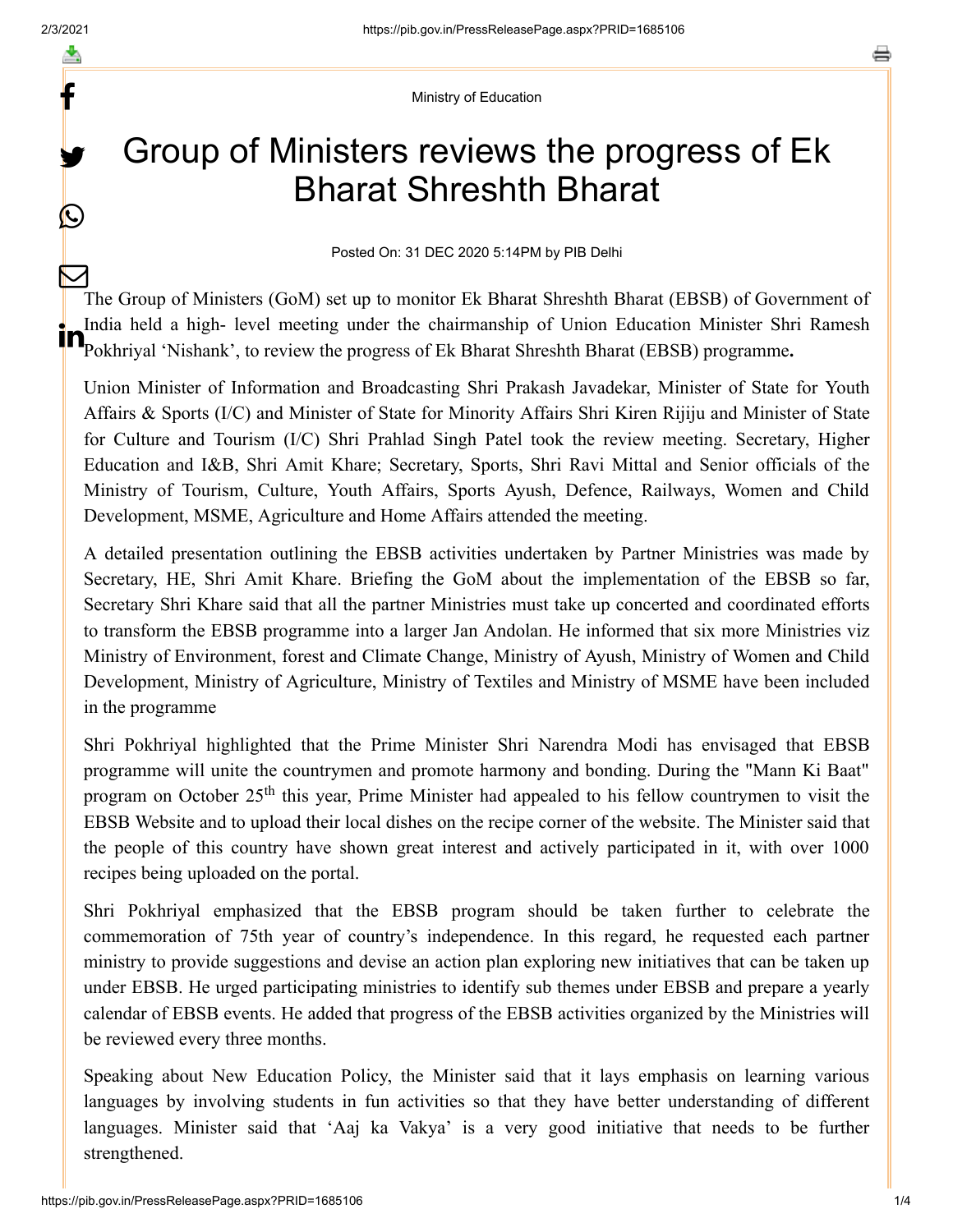f

y.

 $\bigcirc$ 

Ministry of Education

# Group of Ministers reviews the progress of Ek Bharat Shreshth Bharat

Posted On: 31 DEC 2020 5:14PM by PIB Delhi

The Group of Ministers (GoM) set up to monitor Ek Bharat Shreshth Bharat (EBSB) of Government of India held a high- level meeting under the chairmanship of Union Education Minister Shri Ramesh **Pollume Shrake I are as a set of the chairmanship of Union Education Minister Shrake Pokhriyal 'Nishank', to review the progress of Ek Bharat Shreshth Bharat (EBSB) programme.**  $\bm{\nabla}$ 

Union Minister of Information and Broadcasting Shri Prakash Javadekar, Minister of State for Youth Affairs & Sports (I/C) and Minister of State for Minority Affairs Shri Kiren Rijiju and Minister of State for Culture and Tourism (I/C) Shri Prahlad Singh Patel took the review meeting. Secretary, Higher Education and I&B, Shri Amit Khare; Secretary, Sports, Shri Ravi Mittal and Senior officials of the Ministry of Tourism, Culture, Youth Affairs, Sports Ayush, Defence, Railways, Women and Child Development, MSME, Agriculture and Home Affairs attended the meeting.

A detailed presentation outlining the EBSB activities undertaken by Partner Ministries was made by Secretary, HE, Shri Amit Khare. Briefing the GoM about the implementation of the EBSB so far, Secretary Shri Khare said that all the partner Ministries must take up concerted and coordinated efforts to transform the EBSB programme into a larger Jan Andolan. He informed that six more Ministries viz Ministry of Environment, forest and Climate Change, Ministry of Ayush, Ministry of Women and Child Development, Ministry of Agriculture, Ministry of Textiles and Ministry of MSME have been included in the programme

Shri Pokhriyal highlighted that the Prime Minister Shri Narendra Modi has envisaged that EBSB programme will unite the countrymen and promote harmony and bonding. During the "Mann Ki Baat" program on October 25<sup>th</sup> this year, Prime Minister had appealed to his fellow countrymen to visit the EBSB Website and to upload their local dishes on the recipe corner of the website. The Minister said that the people of this country have shown great interest and actively participated in it, with over 1000 recipes being uploaded on the portal.

Shri Pokhriyal emphasized that the EBSB program should be taken further to celebrate the commemoration of 75th year of country's independence. In this regard, he requested each partner ministry to provide suggestions and devise an action plan exploring new initiatives that can be taken up under EBSB. He urged participating ministries to identify sub themes under EBSB and prepare a yearly calendar of EBSB events. He added that progress of the EBSB activities organized by the Ministries will be reviewed every three months.

Speaking about New Education Policy, the Minister said that it lays emphasis on learning various languages by involving students in fun activities so that they have better understanding of different languages. Minister said that 'Aaj ka Vakya' is a very good initiative that needs to be further strengthened.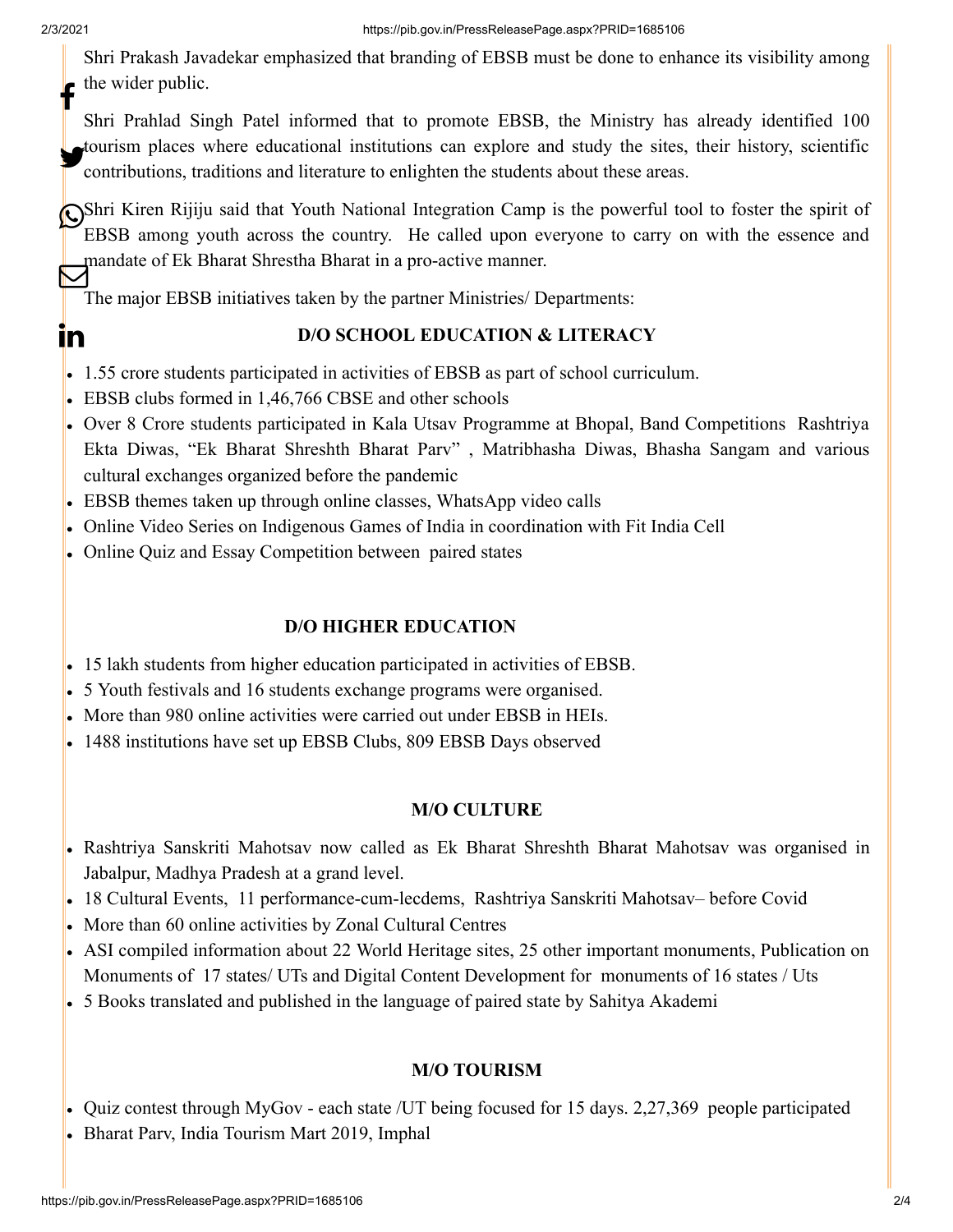Shri Prakash Javadekar emphasized that branding of EBSB must be done to enhance its visibility among the wider public. f

Shri Prahlad Singh Patel informed that to promote EBSB, the Ministry has already identified 100 tourism places where educational institutions can explore and study the sites, their history, scientific<br>contributions traditions and literature to culiable the students about these areas. contributions, traditions and literature to enlighten the students about these areas.

Shri Kiren Rijiju said that Youth National Integration Camp is the powerful tool to foster the spirit of EBSB among youth across the country. He called upon everyone to carry on with the essence and mandate of Ek Bharat Shrestha Bharat in a pro-active manner.

The major EBSB initiatives taken by the partner Ministries/ Departments:

## In

## **D/O SCHOOL EDUCATION & LITERACY**

- 1.55 crore students participated in activities of EBSB as part of school curriculum.
- EBSB clubs formed in 1,46,766 CBSE and other schools
- Over 8 Crore students participated in Kala Utsav Programme at Bhopal, Band Competitions Rashtriya Ekta Diwas, "Ek Bharat Shreshth Bharat Parv" , Matribhasha Diwas, Bhasha Sangam and various cultural exchanges organized before the pandemic
- EBSB themes taken up through online classes, WhatsApp video calls
- Online Video Series on Indigenous Games of India in coordination with Fit India Cell
- Online Quiz and Essay Competition between paired states

## **D/O HIGHER EDUCATION**

- 15 lakh students from higher education participated in activities of EBSB.
- 5 Youth festivals and 16 students exchange programs were organised.
- More than 980 online activities were carried out under EBSB in HEIs.
- 1488 institutions have set up EBSB Clubs, 809 EBSB Days observed

## **M/O CULTURE**

- Rashtriya Sanskriti Mahotsav now called as Ek Bharat Shreshth Bharat Mahotsav was organised in Jabalpur, Madhya Pradesh at a grand level.
- 18 Cultural Events, 11 performance-cum-lecdems, Rashtriya Sanskriti Mahotsav– before Covid
- More than 60 online activities by Zonal Cultural Centres
- ASI compiled information about 22 World Heritage sites, 25 other important monuments, Publication on Monuments of 17 states/ UTs and Digital Content Development for monuments of 16 states / Uts
- 5 Books translated and published in the language of paired state by Sahitya Akademi

## **M/O TOURISM**

- Quiz contest through MyGov each state /UT being focused for 15 days. 2,27,369 people participated
- Bharat Parv, India Tourism Mart 2019, Imphal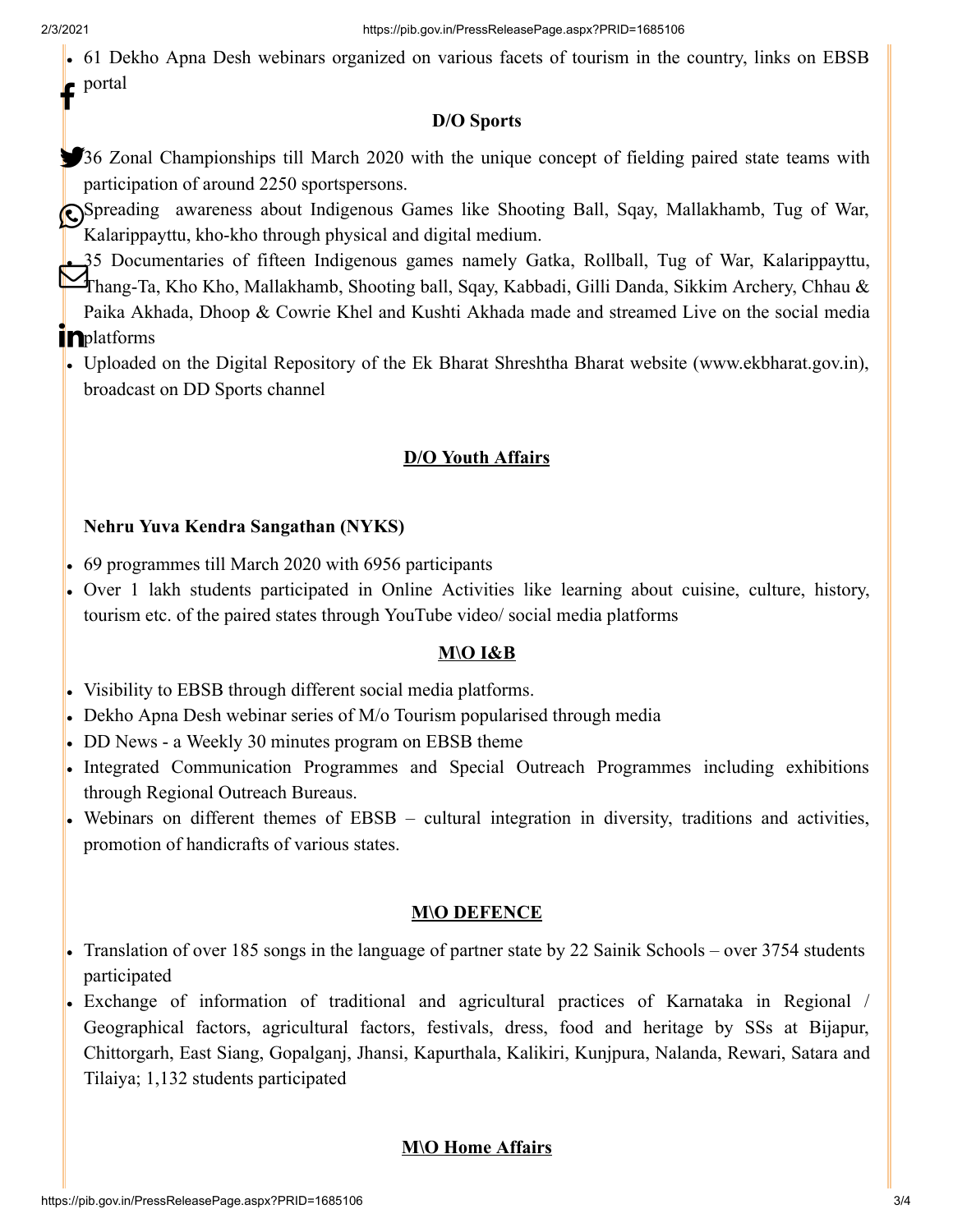61 Dekho Apna Desh webinars organized on various facets of tourism in the country, links on EBSB portal f

### **D/O Sports**

- 336 Zonal Championships till March 2020 with the unique concept of fielding paired state teams with participation of around 2250 sportspersons.
- Spreading awareness about Indigenous Games like Shooting Ball, Sqay, Mallakhamb, Tug of War, Kalarippayttu, kho-kho through physical and digital medium.
- 35 Documentaries of fifteen Indigenous games namely Gatka, Rollball, Tug of War, Kalarippayttu, Thang-Ta, Kho Kho, Mallakhamb, Shooting ball, Sqay, Kabbadi, Gilli Danda, Sikkim Archery, Chhau & Paika Akhada, Dhoop & Cowrie Khel and Kushti Akhada made and streamed Live on the social media **in**platforms
- Uploaded on the Digital Repository of the Ek Bharat Shreshtha Bharat website ([www.ekbharat.gov.in\)](http://www.ekbharat.gov.in/), broadcast on DD Sports channel

## **D/O Youth Affairs**

## **Nehru Yuva Kendra Sangathan (NYKS)**

- 69 programmes till March 2020 with 6956 participants
- Over 1 lakh students participated in Online Activities like learning about cuisine, culture, history, tourism etc. of the paired states through YouTube video/ social media platforms

## **M\O I&B**

- Visibility to EBSB through different social media platforms.
- Dekho Apna Desh webinar series of M/o Tourism popularised through media
- DD News a Weekly 30 minutes program on EBSB theme
- Integrated Communication Programmes and Special Outreach Programmes including exhibitions through Regional Outreach Bureaus.
- Webinars on different themes of EBSB cultural integration in diversity, traditions and activities, promotion of handicrafts of various states.

## **M\O DEFENCE**

- Translation of over 185 songs in the language of partner state by 22 Sainik Schools over 3754 students participated
- Exchange of information of traditional and agricultural practices of Karnataka in Regional / Geographical factors, agricultural factors, festivals, dress, food and heritage by SSs at Bijapur, Chittorgarh, East Siang, Gopalganj, Jhansi, Kapurthala, Kalikiri, Kunjpura, Nalanda, Rewari, Satara and Tilaiya; 1,132 students participated

## **M\O Home Affairs**